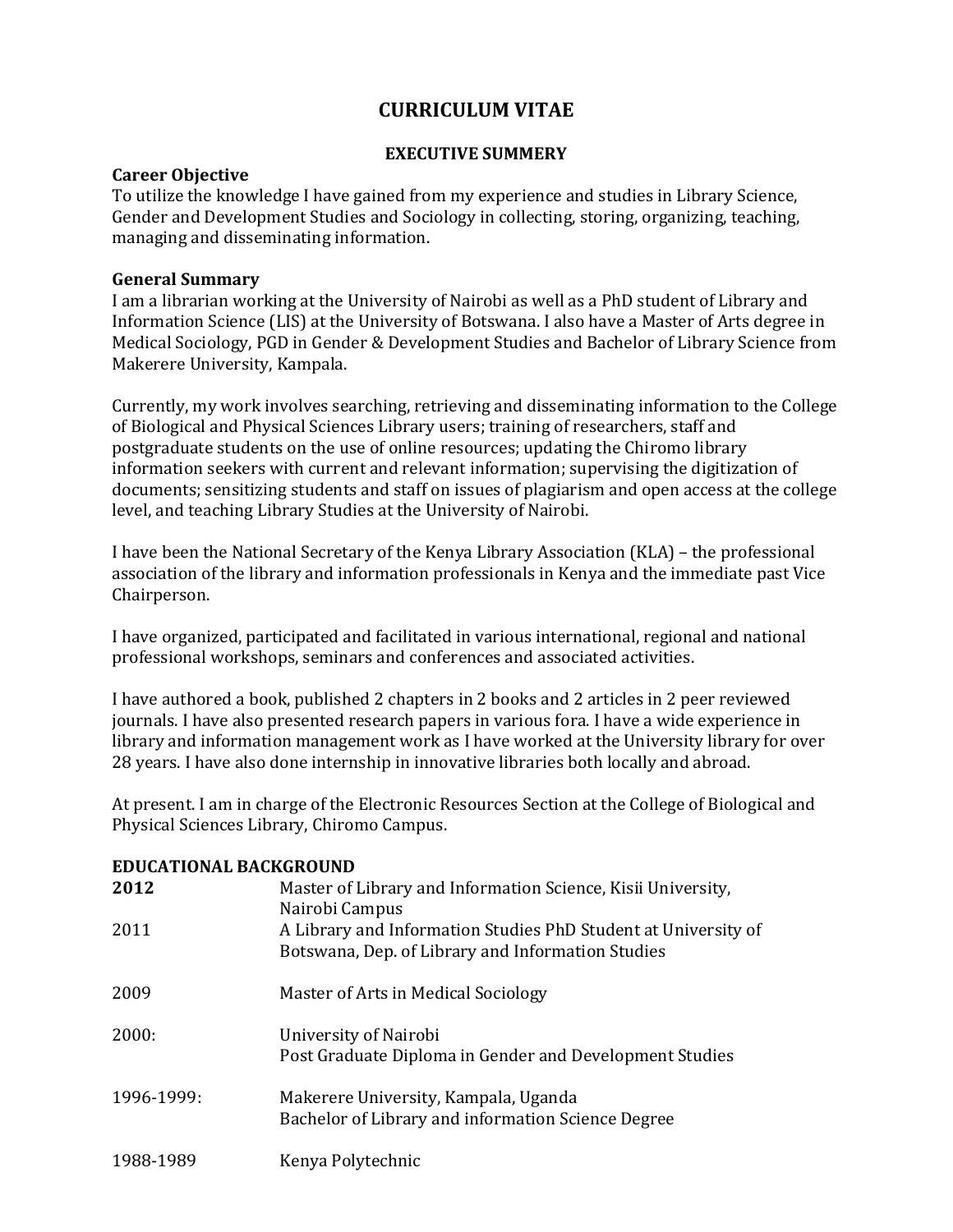# **CURRICULUM VITAE**

#### **EXECUTIVE SUMMERY**

#### **Career Objective**

To utilize the knowledge I have gained from my experience and studies in Library Science, Gender and Development Studies and Sociology in collecting, storing, organizing, teaching, managing and disseminating information.

#### **General Summary**

I am a librarian working at the University of Nairobi as well as a PhD student of Library and Information Science (LIS) at the University of Botswana. I also have a Master of Arts degree in Medical Sociology, PGD in Gender & Development Studies and Bachelor of Library Science from Makerere University, Kampala.

Currently, my work involves searching, retrieving and disseminating information to the College of Biological and Physical Sciences Library users; training of researchers, staff and postgraduate students on the use of online resources; updating the Chiromo library information seekers with current and relevant information; supervising the digitization of documents; sensitizing students and staff on issues of plagiarism and open access at the college level, and teaching Library Studies at the University of Nairobi.

I have been the National Secretary of the Kenya Library Association (KLA) – the professional association of the library and information professionals in Kenya and the immediate past Vice Chairperson.

I have organized, participated and facilitated in various international, regional and national professional workshops, seminars and conferences and associated activities.

I have authored a book, published 2 chapters in 2 books and 2 articles in 2 peer reviewed journals. I have also presented research papers in various fora. I have a wide experience in library and information management work as I have worked at the University library for over 28 years. I have also done internship in innovative libraries both locally and abroad.

At present. I am in charge of the Electronic Resources Section at the College of Biological and Physical Sciences Library, Chiromo Campus.

#### **EDUCATIONAL BACKGROUND**

| 2012       | Master of Library and Information Science, Kisii University,<br>Nairobi Campus                                      |
|------------|---------------------------------------------------------------------------------------------------------------------|
| 2011       | A Library and Information Studies PhD Student at University of<br>Botswana, Dep. of Library and Information Studies |
| 2009       | Master of Arts in Medical Sociology                                                                                 |
| 2000:      | University of Nairobi<br>Post Graduate Diploma in Gender and Development Studies                                    |
| 1996-1999: | Makerere University, Kampala, Uganda<br>Bachelor of Library and information Science Degree                          |
| 1988-1989  | Kenya Polytechnic                                                                                                   |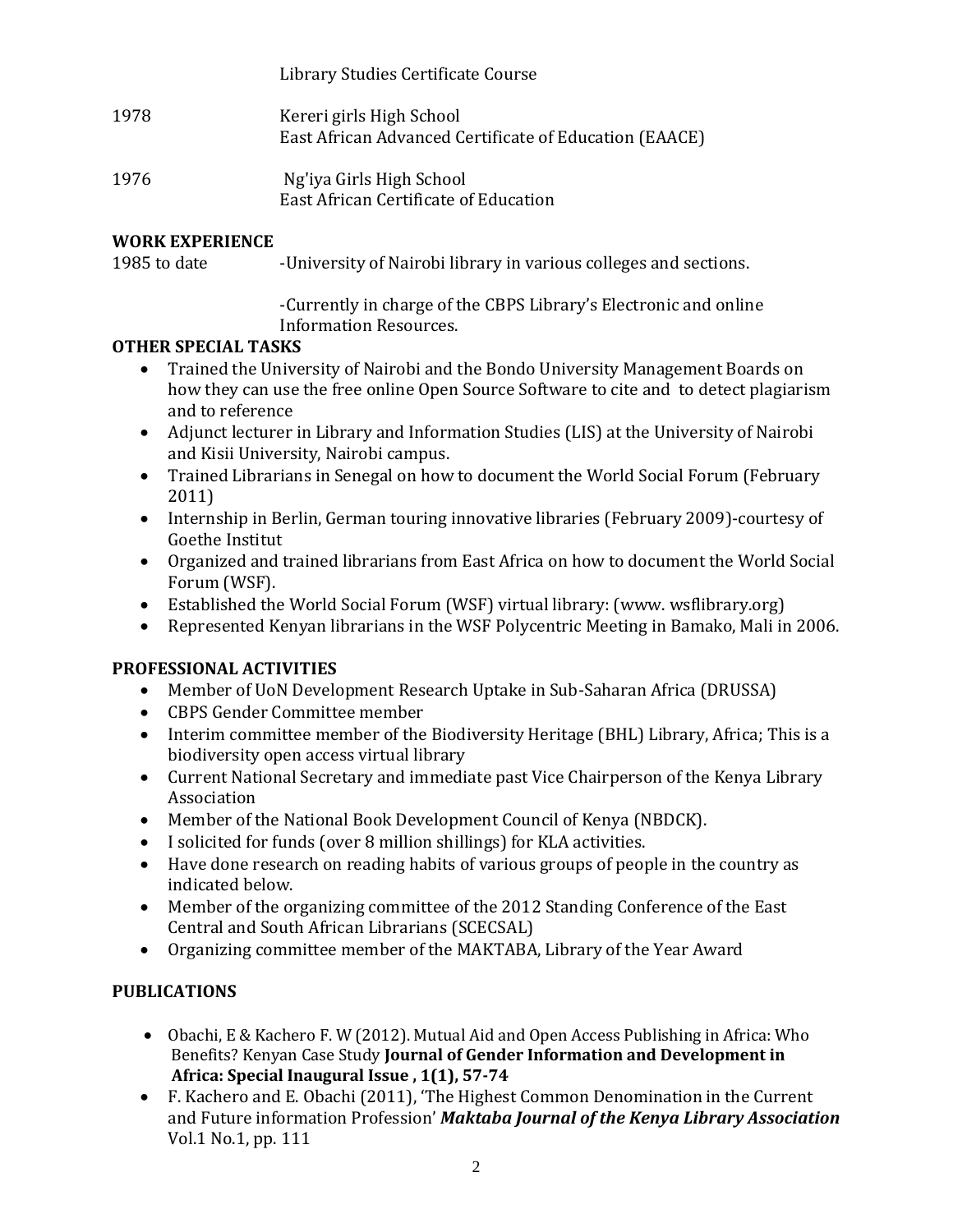|      | Library Studies Certificate Course                                                 |
|------|------------------------------------------------------------------------------------|
| 1978 | Kereri girls High School<br>East African Advanced Certificate of Education (EAACE) |
| 1976 | Ng'iya Girls High School                                                           |

East African Certificate of Education

### **WORK EXPERIENCE**

1985 to date -University of Nairobi library in various colleges and sections.

-Currently in charge of the CBPS Library's Electronic and online Information Resources.

### **OTHER SPECIAL TASKS**

- Trained the University of Nairobi and the Bondo University Management Boards on how they can use the free online Open Source Software to cite and to detect plagiarism and to reference
- Adjunct lecturer in Library and Information Studies (LIS) at the University of Nairobi and Kisii University, Nairobi campus.
- Trained Librarians in Senegal on how to document the World Social Forum (February 2011)
- Internship in Berlin, German touring innovative libraries (February 2009)-courtesy of Goethe Institut
- Organized and trained librarians from East Africa on how to document the World Social Forum (WSF).
- Established the World Social Forum (WSF) virtual library: (www. wsflibrary.org)
- Represented Kenyan librarians in the WSF Polycentric Meeting in Bamako, Mali in 2006.

### **PROFESSIONAL ACTIVITIES**

- Member of UoN Development Research Uptake in Sub-Saharan Africa (DRUSSA)
- CBPS Gender Committee member
- Interim committee member of the Biodiversity Heritage (BHL) Library, Africa; This is a biodiversity open access virtual library
- Current National Secretary and immediate past Vice Chairperson of the Kenya Library Association
- Member of the National Book Development Council of Kenya (NBDCK).
- I solicited for funds (over 8 million shillings) for KLA activities.
- Have done research on reading habits of various groups of people in the country as indicated below.
- Member of the organizing committee of the 2012 Standing Conference of the East Central and South African Librarians (SCECSAL)
- Organizing committee member of the MAKTABA, Library of the Year Award

# **PUBLICATIONS**

- Obachi, E & Kachero F. W (2012). Mutual Aid and Open Access Publishing in Africa: Who Benefits? Kenyan Case Study **Journal of Gender Information and Development in Africa: Special Inaugural Issue , 1(1), 57-74**
- F. Kachero and E. Obachi (2011), 'The Highest Common Denomination in the Current and Future information Profession' *Maktaba Journal of the Kenya Library Association*  Vol.1 No.1, pp. 111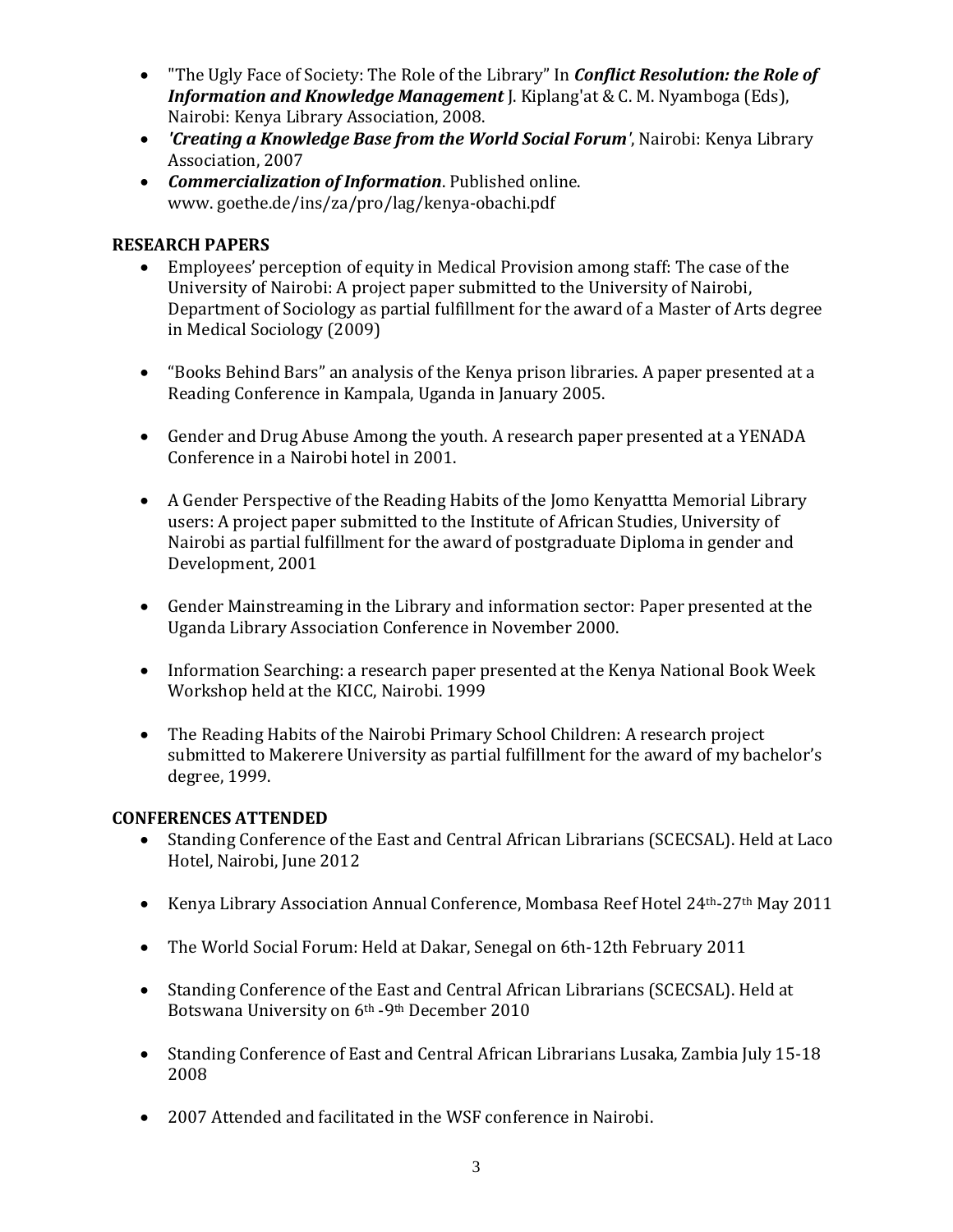- "The Ugly Face of Society: The Role of the Library" In *Conflict Resolution: the Role of Information and Knowledge Management* J. Kiplang'at & C. M. Nyamboga (Eds), Nairobi: Kenya Library Association, 2008.
- *'Creating a Knowledge Base from the World Social Forum'*, Nairobi: Kenya Library Association, 2007
- *Commercialization of Information*. Published online. www. goethe.de/ins/za/pro/lag/kenya-obachi.pdf

## **RESEARCH PAPERS**

- Employees' perception of equity in Medical Provision among staff: The case of the University of Nairobi: A project paper submitted to the University of Nairobi, Department of Sociology as partial fulfillment for the award of a Master of Arts degree in Medical Sociology (2009)
- "Books Behind Bars" an analysis of the Kenya prison libraries. A paper presented at a Reading Conference in Kampala, Uganda in January 2005.
- Gender and Drug Abuse Among the youth. A research paper presented at a YENADA Conference in a Nairobi hotel in 2001.
- A Gender Perspective of the Reading Habits of the Jomo Kenyattta Memorial Library users: A project paper submitted to the Institute of African Studies, University of Nairobi as partial fulfillment for the award of postgraduate Diploma in gender and Development, 2001
- Gender Mainstreaming in the Library and information sector: Paper presented at the Uganda Library Association Conference in November 2000.
- Information Searching: a research paper presented at the Kenya National Book Week Workshop held at the KICC, Nairobi. 1999
- The Reading Habits of the Nairobi Primary School Children: A research project submitted to Makerere University as partial fulfillment for the award of my bachelor's degree, 1999.

### **CONFERENCES ATTENDED**

- Standing Conference of the East and Central African Librarians (SCECSAL). Held at Laco Hotel, Nairobi, June 2012
- Kenya Library Association Annual Conference, Mombasa Reef Hotel 24<sup>th</sup>-27<sup>th</sup> May 2011
- The World Social Forum: Held at Dakar, Senegal on 6th-12th February 2011
- Standing Conference of the East and Central African Librarians (SCECSAL). Held at Botswana University on 6th -9th December 2010
- Standing Conference of East and Central African Librarians Lusaka, Zambia July 15-18 2008
- 2007 Attended and facilitated in the WSF conference in Nairobi.